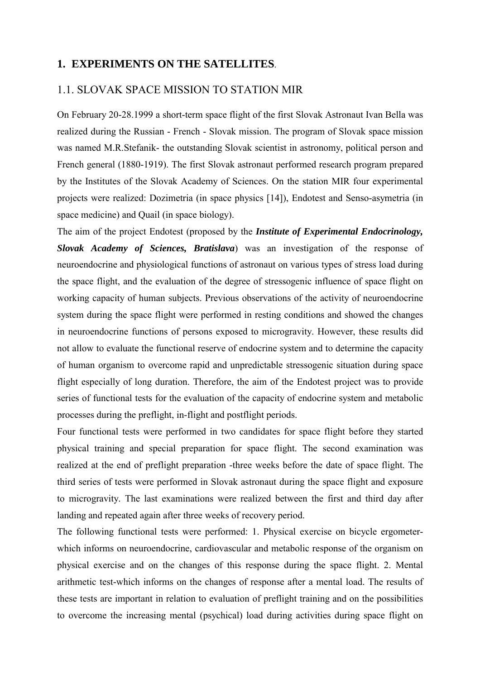## **1. EXPERIMENTS ON THE SATELLITES**.

## 1.1. SLOVAK SPACE MISSION TO STATION MIR

On February 20-28.1999 a short-term space flight of the first Slovak Astronaut Ivan Bella was realized during the Russian - French - Slovak mission. The program of Slovak space mission was named M.R.Stefanik- the outstanding Slovak scientist in astronomy, political person and French general (1880-1919). The first Slovak astronaut performed research program prepared by the Institutes of the Slovak Academy of Sciences. On the station MIR four experimental projects were realized: Dozimetria (in space physics [14]), Endotest and Senso-asymetria (in space medicine) and Quail (in space biology).

The aim of the project Endotest (proposed by the *Institute of Experimental Endocrinology, Slovak Academy of Sciences, Bratislava*) was an investigation of the response of neuroendocrine and physiological functions of astronaut on various types of stress load during the space flight, and the evaluation of the degree of stressogenic influence of space flight on working capacity of human subjects. Previous observations of the activity of neuroendocrine system during the space flight were performed in resting conditions and showed the changes in neuroendocrine functions of persons exposed to microgravity. However, these results did not allow to evaluate the functional reserve of endocrine system and to determine the capacity of human organism to overcome rapid and unpredictable stressogenic situation during space flight especially of long duration. Therefore, the aim of the Endotest project was to provide series of functional tests for the evaluation of the capacity of endocrine system and metabolic processes during the preflight, in-flight and postflight periods.

Four functional tests were performed in two candidates for space flight before they started physical training and special preparation for space flight. The second examination was realized at the end of preflight preparation -three weeks before the date of space flight. The third series of tests were performed in Slovak astronaut during the space flight and exposure to microgravity. The last examinations were realized between the first and third day after landing and repeated again after three weeks of recovery period.

The following functional tests were performed: 1. Physical exercise on bicycle ergometerwhich informs on neuroendocrine, cardiovascular and metabolic response of the organism on physical exercise and on the changes of this response during the space flight. 2. Mental arithmetic test-which informs on the changes of response after a mental load. The results of these tests are important in relation to evaluation of preflight training and on the possibilities to overcome the increasing mental (psychical) load during activities during space flight on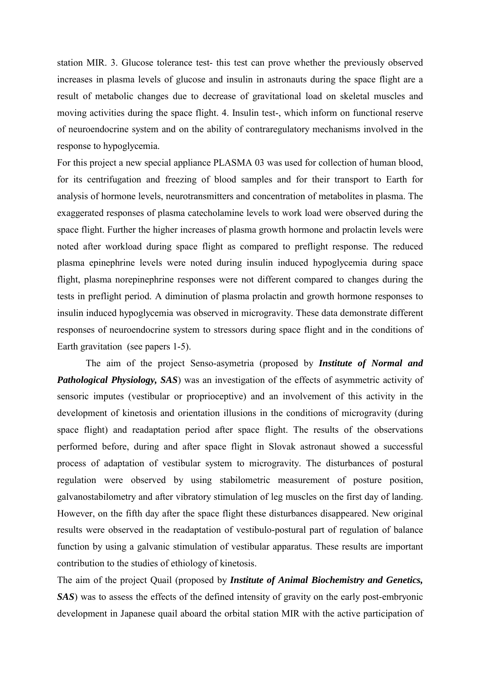station MIR. 3. Glucose tolerance test- this test can prove whether the previously observed increases in plasma levels of glucose and insulin in astronauts during the space flight are a result of metabolic changes due to decrease of gravitational load on skeletal muscles and moving activities during the space flight. 4. Insulin test-, which inform on functional reserve of neuroendocrine system and on the ability of contraregulatory mechanisms involved in the response to hypoglycemia.

For this project a new special appliance PLASMA 03 was used for collection of human blood, for its centrifugation and freezing of blood samples and for their transport to Earth for analysis of hormone levels, neurotransmitters and concentration of metabolites in plasma. The exaggerated responses of plasma catecholamine levels to work load were observed during the space flight. Further the higher increases of plasma growth hormone and prolactin levels were noted after workload during space flight as compared to preflight response. The reduced plasma epinephrine levels were noted during insulin induced hypoglycemia during space flight, plasma norepinephrine responses were not different compared to changes during the tests in preflight period. A diminution of plasma prolactin and growth hormone responses to insulin induced hypoglycemia was observed in microgravity. These data demonstrate different responses of neuroendocrine system to stressors during space flight and in the conditions of Earth gravitation (see papers 1-5).

 The aim of the project Senso-asymetria (proposed by *Institute of Normal and Pathological Physiology, SAS*) was an investigation of the effects of asymmetric activity of sensoric imputes (vestibular or proprioceptive) and an involvement of this activity in the development of kinetosis and orientation illusions in the conditions of microgravity (during space flight) and readaptation period after space flight. The results of the observations performed before, during and after space flight in Slovak astronaut showed a successful process of adaptation of vestibular system to microgravity. The disturbances of postural regulation were observed by using stabilometric measurement of posture position, galvanostabilometry and after vibratory stimulation of leg muscles on the first day of landing. However, on the fifth day after the space flight these disturbances disappeared. New original results were observed in the readaptation of vestibulo-postural part of regulation of balance function by using a galvanic stimulation of vestibular apparatus. These results are important contribution to the studies of ethiology of kinetosis.

The aim of the project Quail (proposed by *Institute of Animal Biochemistry and Genetics, SAS*) was to assess the effects of the defined intensity of gravity on the early post-embryonic development in Japanese quail aboard the orbital station MIR with the active participation of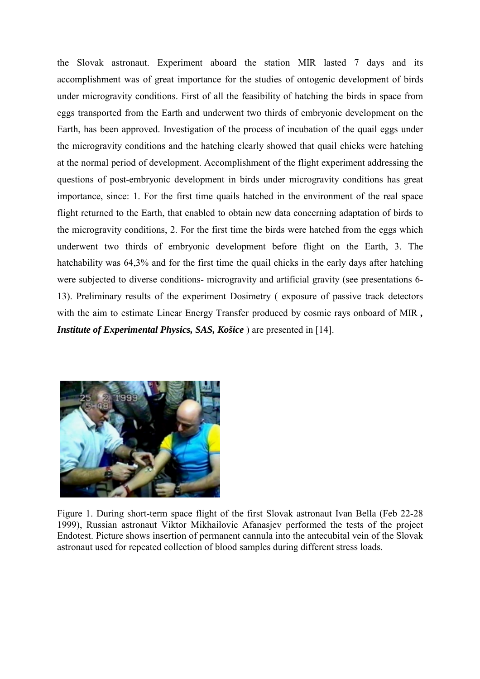the Slovak astronaut. Experiment aboard the station MIR lasted 7 days and its accomplishment was of great importance for the studies of ontogenic development of birds under microgravity conditions. First of all the feasibility of hatching the birds in space from eggs transported from the Earth and underwent two thirds of embryonic development on the Earth, has been approved. Investigation of the process of incubation of the quail eggs under the microgravity conditions and the hatching clearly showed that quail chicks were hatching at the normal period of development. Accomplishment of the flight experiment addressing the questions of post-embryonic development in birds under microgravity conditions has great importance, since: 1. For the first time quails hatched in the environment of the real space flight returned to the Earth, that enabled to obtain new data concerning adaptation of birds to the microgravity conditions, 2. For the first time the birds were hatched from the eggs which underwent two thirds of embryonic development before flight on the Earth, 3. The hatchability was 64,3% and for the first time the quail chicks in the early days after hatching were subjected to diverse conditions- microgravity and artificial gravity (see presentations 6- 13). Preliminary results of the experiment Dosimetry ( exposure of passive track detectors with the aim to estimate Linear Energy Transfer produced by cosmic rays onboard of MIR *, Institute of Experimental Physics, SAS, Košice* ) are presented in [14].



Figure 1. During short-term space flight of the first Slovak astronaut Ivan Bella (Feb 22-28 1999), Russian astronaut Viktor Mikhailovic Afanasjev performed the tests of the project Endotest. Picture shows insertion of permanent cannula into the antecubital vein of the Slovak astronaut used for repeated collection of blood samples during different stress loads.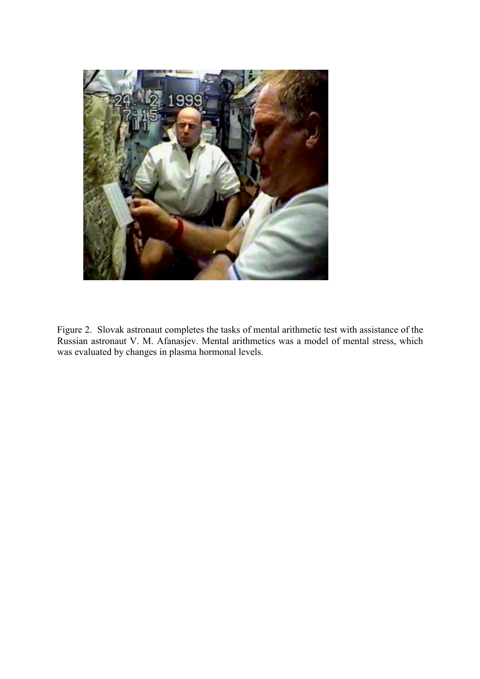

Figure 2. Slovak astronaut completes the tasks of mental arithmetic test with assistance of the Russian astronaut V. M. Afanasjev. Mental arithmetics was a model of mental stress, which was evaluated by changes in plasma hormonal levels.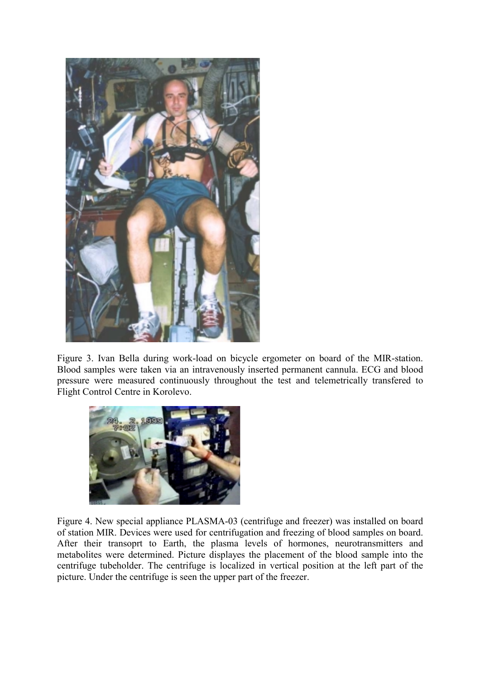

Figure 3. Ivan Bella during work-load on bicycle ergometer on board of the MIR-station. Blood samples were taken via an intravenously inserted permanent cannula. ECG and blood pressure were measured continuously throughout the test and telemetrically transfered to Flight Control Centre in Korolevo.



Figure 4. New special appliance PLASMA-03 (centrifuge and freezer) was installed on board of station MIR. Devices were used for centrifugation and freezing of blood samples on board. After their transoprt to Earth, the plasma levels of hormones, neurotransmitters and metabolites were determined. Picture displayes the placement of the blood sample into the centrifuge tubeholder. The centrifuge is localized in vertical position at the left part of the picture. Under the centrifuge is seen the upper part of the freezer.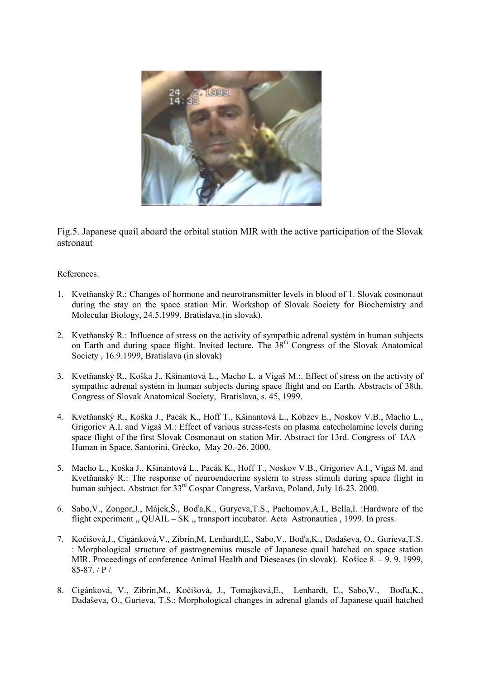

Fig.5. Japanese quail aboard the orbital station MIR with the active participation of the Slovak astronaut

References.

- 1. Kvetňanský R.: Changes of hormone and neurotransmitter levels in blood of 1. Slovak cosmonaut during the stay on the space station Mir. Workshop of Slovak Society for Biochemistry and Molecular Biology, 24.5.1999, Bratislava.(in slovak).
- 2. Kvetňanský R.: Influence of stress on the activity of sympathic adrenal systém in human subjects on Earth and during space flight. Invited lecture. The  $38<sup>th</sup>$  Congress of the Slovak Anatomical Society , 16.9.1999, Bratislava (in slovak)
- 3. Kvetňanský R., Koška J., Kšinantová L., Macho L. a Vigaš M.:. Effect of stress on the activity of sympathic adrenal systém in human subjects during space flight and on Earth. Abstracts of 38th. Congress of Slovak Anatomical Society, Bratislava, s. 45, 1999.
- 4. Kvetňanský R., Koška J., Pacák K., Hoff T., Kšinantová L., Kobzev E., Noskov V.B., Macho L., Grigoriev A.I. and Vigaš M.: Effect of various stress-tests on plasma catecholamine levels during space flight of the first Slovak Cosmonaut on station Mir. Abstract for 13rd. Congress of IAA – Human in Space, Santorini, Grécko, May 20.-26. 2000.
- 5. Macho L., Koška J., Kšinantová L., Pacák K., Hoff T., Noskov V.B., Grigoriev A.I., Vigaš M. and Kvetňanský R.: The response of neuroendocrine system to stress stimuli during space flight in human subject. Abstract for 33<sup>rd</sup> Cospar Congress, Varšava, Poland, July 16-23. 2000.
- 6. Sabo,V., Zongor,J., Májek,Š., Boďa,K., Guryeva,T.S., Pachomov,A.I., Bella,I. :Hardware of the flight experiment  $\Omega$ , QUAIL – SK  $\Omega$ , transport incubator. Acta Astronautica , 1999. In press.
- 7. Kočišová,J., Cigánková,V., Zibrín,M, Lenhardt,Ľ., Sabo,V., Boďa,K., Dadaševa, O., Gurieva,T.S. : Morphological structure of gastrognemius muscle of Japanese quail hatched on space station MIR. Proceedings of conference Animal Health and Dieseases (in slovak). Košice 8. – 9. 9. 1999, 85-87. / P /
- 8. Cigánková, V., Zibrín,M., Kočišová, J., Tomajková,E., Lenhardt, Ľ., Sabo,V., Boďa,K., Dadaševa, O., Gurieva, T.S.: Morphological changes in adrenal glands of Japanese quail hatched